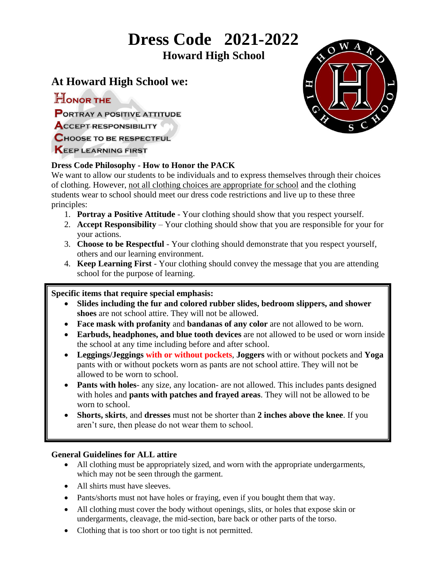# **Dress Code 2021-2022**

 **Howard High School**

## **At Howard High School we:**

HONOR THE

**PORTRAY A POSITIVE ATTITUDE** 

- **ACCEPT RESPONSIBILITY**
- **CHOOSE TO BE RESPECTFUL**

**KEEP LEARNING FIRST** 

## **Dress Code Philosophy - How to Honor the PACK**

We want to allow our students to be individuals and to express themselves through their choices of clothing. However, not all clothing choices are appropriate for school and the clothing students wear to school should meet our dress code restrictions and live up to these three principles:

- 1. **Portray a Positive Attitude** Your clothing should show that you respect yourself.
- 2. **Accept Responsibility**  Your clothing should show that you are responsible for your for your actions.
- 3. **Choose to be Respectful** Your clothing should demonstrate that you respect yourself, others and our learning environment.
- 4. **Keep Learning First** Your clothing should convey the message that you are attending school for the purpose of learning.

## **Specific items that require special emphasis:**

- **Slides including the fur and colored rubber slides, bedroom slippers, and shower shoes** are not school attire. They will not be allowed.
- **Face mask with profanity** and **bandanas of any color** are not allowed to be worn.
- **Earbuds, headphones, and blue tooth devices** are not allowed to be used or worn inside the school at any time including before and after school.
- **Leggings/Jeggings with or without pockets**, **Joggers** with or without pockets and **Yoga**  pants with or without pockets worn as pants are not school attire. They will not be allowed to be worn to school.
- **Pants with holes** any size, any location- are not allowed. This includes pants designed with holes and **pants with patches and frayed areas**. They will not be allowed to be worn to school.
- **Shorts, skirts**, and **dresses** must not be shorter than **2 inches above the knee**. If you aren't sure, then please do not wear them to school.

### **General Guidelines for ALL attire**

- All clothing must be appropriately sized, and worn with the appropriate undergarments, which may not be seen through the garment.
- All shirts must have sleeves.
- Pants/shorts must not have holes or fraying, even if you bought them that way.
- All clothing must cover the body without openings, slits, or holes that expose skin or undergarments, cleavage, the mid-section, bare back or other parts of the torso.
- Clothing that is too short or too tight is not permitted.